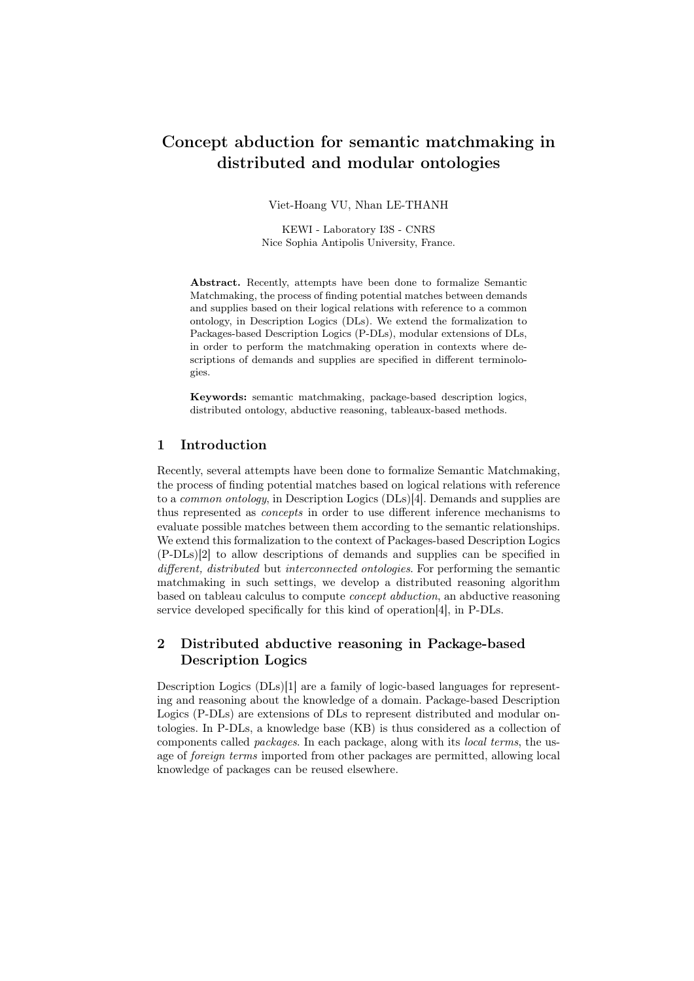# Concept abduction for semantic matchmaking in distributed and modular ontologies

Viet-Hoang VU, Nhan LE-THANH

KEWI - Laboratory I3S - CNRS Nice Sophia Antipolis University, France.

Abstract. Recently, attempts have been done to formalize Semantic Matchmaking, the process of finding potential matches between demands and supplies based on their logical relations with reference to a common ontology, in Description Logics (DLs). We extend the formalization to Packages-based Description Logics (P-DLs), modular extensions of DLs, in order to perform the matchmaking operation in contexts where descriptions of demands and supplies are specified in different terminologies.

Keywords: semantic matchmaking, package-based description logics, distributed ontology, abductive reasoning, tableaux-based methods.

#### 1 Introduction

Recently, several attempts have been done to formalize Semantic Matchmaking, the process of finding potential matches based on logical relations with reference to a common ontology, in Description Logics (DLs)[4]. Demands and supplies are thus represented as concepts in order to use different inference mechanisms to evaluate possible matches between them according to the semantic relationships. We extend this formalization to the context of Packages-based Description Logics (P-DLs)[2] to allow descriptions of demands and supplies can be specified in different, distributed but interconnected ontologies. For performing the semantic matchmaking in such settings, we develop a distributed reasoning algorithm based on tableau calculus to compute concept abduction, an abductive reasoning service developed specifically for this kind of operation[4], in P-DLs.

## 2 Distributed abductive reasoning in Package-based Description Logics

Description Logics (DLs)[1] are a family of logic-based languages for representing and reasoning about the knowledge of a domain. Package-based Description Logics (P-DLs) are extensions of DLs to represent distributed and modular ontologies. In P-DLs, a knowledge base (KB) is thus considered as a collection of components called packages. In each package, along with its local terms, the usage of foreign terms imported from other packages are permitted, allowing local knowledge of packages can be reused elsewhere.